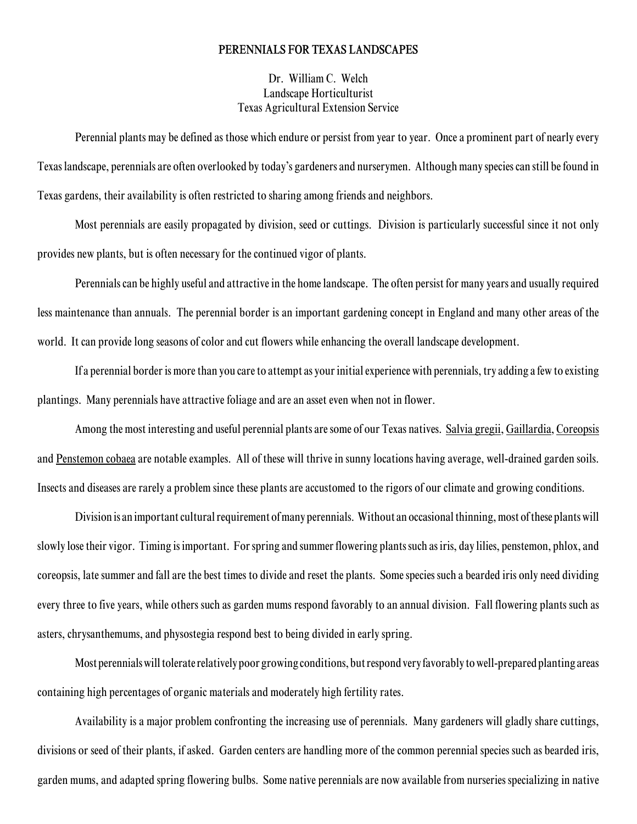## PERENNIALS FOR TEXAS LANDSCAPES

Dr. William C. Welch Landscape Horticulturist Texas Agricultural Extension Service

Perennial plants may be defined as those which endure or persist from year to year. Once a prominent part of nearly every Texas landscape, perennials are often overlooked by today's gardeners and nurserymen. Although many species can still be found in Texas gardens, their availability is often restricted to sharing among friends and neighbors.

Most perennials are easily propagated by division, seed or cuttings. Division is particularly successful since it not only provides new plants, but is often necessary for the continued vigor of plants.

Perennials can be highly useful and attractive in the home landscape. The often persist for many years and usually required less maintenance than annuals. The perennial border is an important gardening concept in England and many other areas of the world. It can provide long seasons of color and cut flowers while enhancing the overall landscape development.

If a perennial border is more than you care to attempt as your initial experience with perennials, try adding a few to existing plantings. Many perennials have attractive foliage and are an asset even when not in flower.

Among the most interesting and useful perennial plants are some of our Texas natives. Salvia gregii, Gaillardia, Coreopsis and Penstemon cobaea are notable examples. All of these will thrive in sunny locations having average, well-drained garden soils. Insects and diseases are rarely a problem since these plants are accustomed to the rigors of our climate and growing conditions.

Division is an important cultural requirement of many perennials. Without an occasional thinning, most of these plants will slowly lose their vigor. Timing is important. For spring and summer flowering plants such as iris, day lilies, penstemon, phlox, and coreopsis, late summer and fall are the best times to divide and reset the plants. Some species such a bearded iris only need dividing every three to five years, while others such as garden mums respond favorably to an annual division. Fall flowering plants such as asters, chrysanthemums, and physostegia respond best to being divided in early spring.

Most perennials will tolerate relatively poor growing conditions, but respond very favorably to well-prepared planting areas containing high percentages of organic materials and moderately high fertility rates.

Availability is a major problem confronting the increasing use of perennials. Many gardeners will gladly share cuttings, divisions or seed of their plants, if asked. Garden centers are handling more of the common perennial species such as bearded iris, garden mums, and adapted spring flowering bulbs. Some native perennials are now available from nurseries specializing in native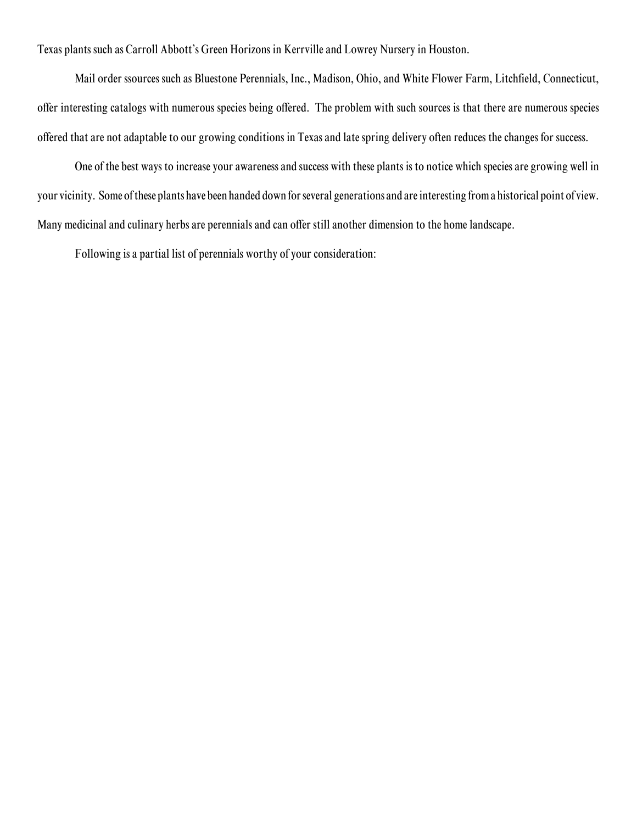Texas plants such as Carroll Abbott's Green Horizons in Kerrville and Lowrey Nursery in Houston.

Mail order ssources such as Bluestone Perennials, Inc., Madison, Ohio, and White Flower Farm, Litchfield, Connecticut, offer interesting catalogs with numerous species being offered. The problem with such sources is that there are numerous species offered that are not adaptable to our growing conditions in Texas and late spring delivery often reduces the changes for success.

One of the best ways to increase your awareness and success with these plants is to notice which species are growing well in your vicinity. Some of these plants have been handed down for several generations and are interesting from a historical point of view. Many medicinal and culinary herbs are perennials and can offer still another dimension to the home landscape.

Following is a partial list of perennials worthy of your consideration: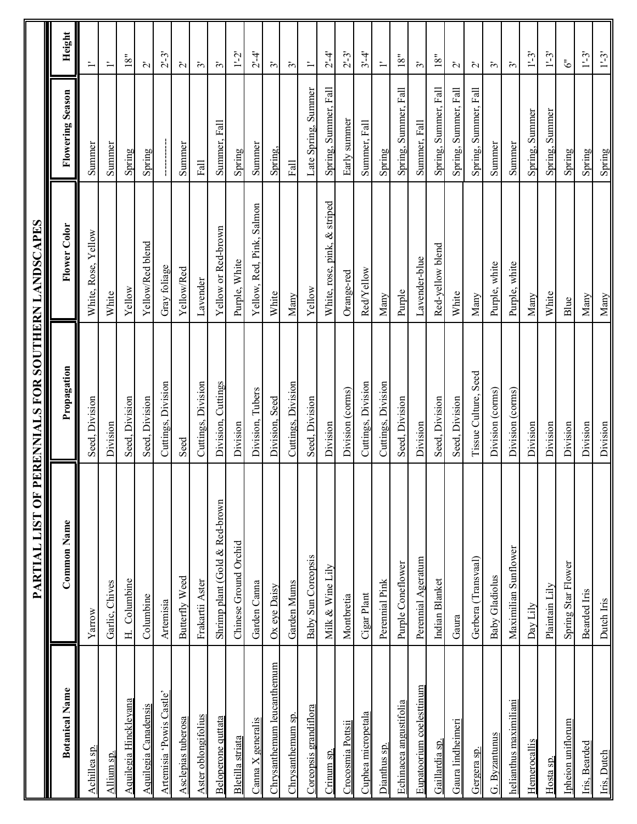|                             | <u>PARTIAL LIST OF I</u>       | PERENNIALS FOR SOUTHERN LANDSCAPES |                              |                         |                         |
|-----------------------------|--------------------------------|------------------------------------|------------------------------|-------------------------|-------------------------|
| <b>Botanical Name</b>       | Common Name                    | Propagation                        | Flower Color                 | <b>Flowering Season</b> | Height                  |
| Achillea sp.                | Yarrow                         | Seed, Division                     | White, Rose, Yellow          | Summer                  |                         |
| Allium sp.                  | Garlic, Chives                 | Division                           | White                        | Summer                  | $\ddot{ }$              |
| Aquilegia Hinckleyana       | H. Columbine                   | Seed, Division                     | Yellow                       | Spring                  | $18"$                   |
| <b>Aquilegia Canadensis</b> | Columbine                      | Seed, Division                     | Yellow/Red blend             | Spring                  | $\tilde{\mathcal{L}}$   |
| Artemisia 'Powis Castle'    | Artemisia                      | Cuttings, Division                 | Gray foliage                 |                         | $2 - 3$                 |
| Asclepias tuberosa          | Butterfly Weed                 | Seed                               | Yellow/Red                   | Summer                  | $\tilde{\mathsf{\sim}}$ |
| Aster oblongifolius         | Frakartii Aster                | Cuttings, Division                 | Lavender                     | $_{\rm{Fall}}$          | $\tilde{\mathcal{E}}$   |
| Beloperone quttata          | Shrimp plant (Gold & Red-brown | Division, Cuttings                 | Yellow or Red-brown          | Summer, Fall            | $\tilde{\epsilon}$      |
| Bletilla striata            | Chinese Ground Orchid          | Division                           | Purple, White                | Spring                  | $1 - 2$                 |
| Canna X generalis           | Garden Cama                    | Division, Tubers                   | Yellow, Red, Pink, Salmon    | Summer                  | $2-4$                   |
| Chrysanthemum leucanthemum  | Ox eye Daisy                   | Division, Seed                     | White                        | Spring,                 | $\tilde{c}$             |
| Chrysanthemum sp.           | Garden Mums                    | Cuttings, Division                 | Many                         | $_{\rm Fall}$           | $\tilde{c}$             |
| Coreopsis grandiflora       | <b>Baby Sun Coreopsis</b>      | Seed, Division                     | Yellow                       | Late Spring, Summer     |                         |
| Crinum sp.                  | Milk & Wine Lily               | Division                           | White, rose, pink, & striped | Spring, Summer, Fall    | $2 - 4$                 |
| Crocosmia Pottsii           | Montbretia                     | Division (corms)                   | Orange-red                   | Early summer            | $2 - 3$                 |
| Cuphea micropetala          | Cigar Plant                    | Cuttings, Division                 | Red/Yellow                   | Summer, Fall            | $3' - 4'$               |
| Dianthus sp.                | Perennial Pink                 | Cuttings, Division                 | Many                         | Spring                  | $\ddot{ }$              |
| Echinacea angustifolia      | Purple Coneflower              | Seed, Division                     | Purple                       | Spring, Summer, Fall    | 18"                     |
| Eupatoorium coelesttinum    | Perennial Ageratum             | Division                           | Lavender-blue                | Summer, Fall            | $\tilde{\epsilon}$      |
| Gaillardia sp.              | Indian Blanket                 | Seed, Division                     | Red-yellow blend             | Spring, Summer, Fall    | 18"                     |
| Gaura lindheimeri           | Gaura                          | Seed, Division                     | White                        | Spring, Summer, Fall    | $\tilde{\mathsf{C}}$    |
| Gergera sp.                 | Gerbera (Transvaal)            | Tissue Culture, Seed               | Many                         | Spring, Summer, Fall    | $\tilde{\sim}$          |
| G. Byzantunus               | <b>Baby Gladiolus</b>          | Division (corms)                   | Purple, white                | Summer                  | $\tilde{c}$             |
| helianthus maximiliani      | Maximilian Sunflower           | Division (corms)                   | Purple, white                | Summer                  | $\tilde{c}$             |
| Hemerocallis                | Day Lily                       | Division                           | Many                         | Spring, Summer          | $1^1-3$                 |
| Hosta sp.                   | Plaintain Lily                 | Division                           | White                        | Spring, Summer          | $1 - 3$                 |
| Ipheion uniflorum           | Spring Star Flower             | Division                           | <b>Blue</b>                  | Spring                  | $\ddot{\circ}$          |
| Iris, Bearded               | <b>Bearded Iris</b>            | Division                           | Many                         | Spring                  | $1^1-3$                 |
| Iris, Dutch                 | Dutch Iris                     | Division                           | Many                         | Spring                  | $1' - 3'$               |